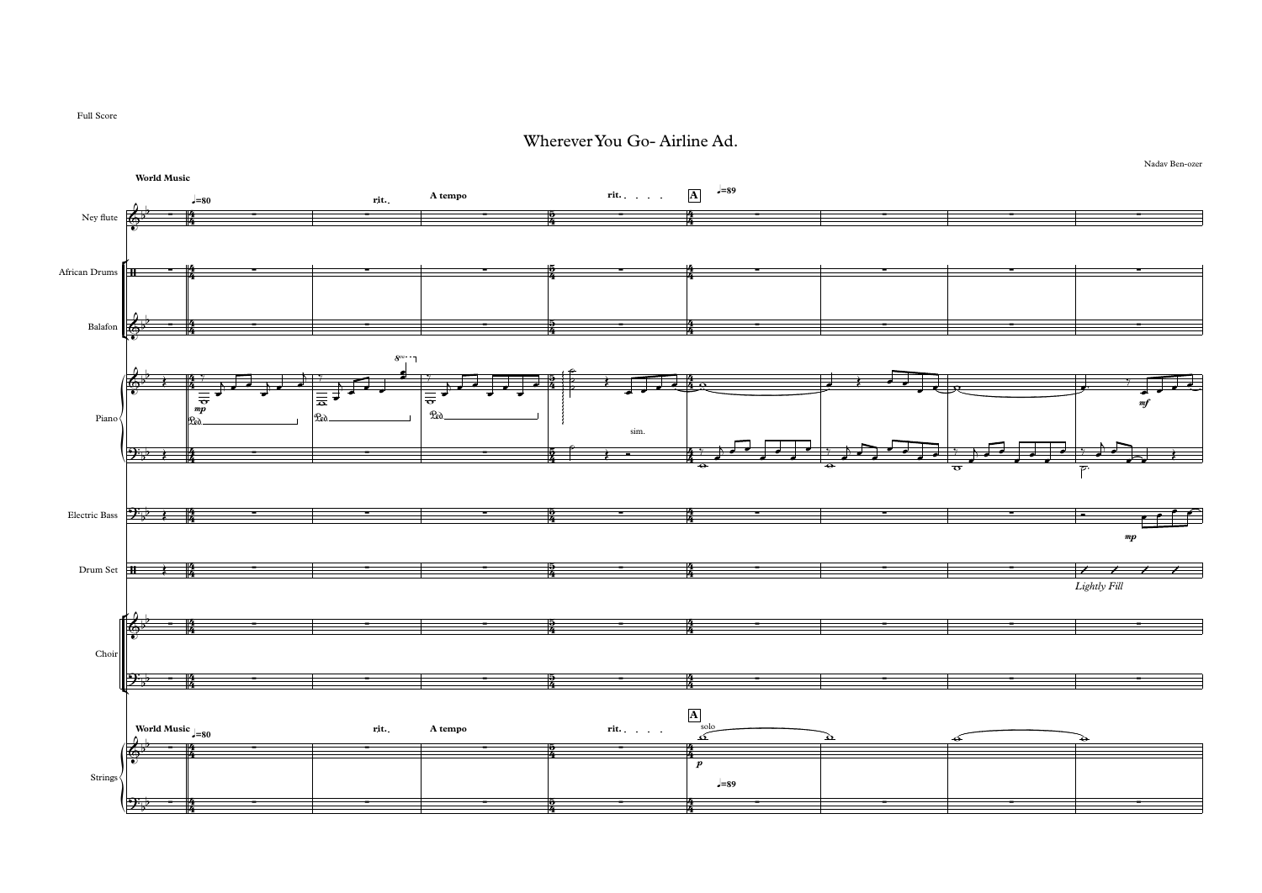

Full Score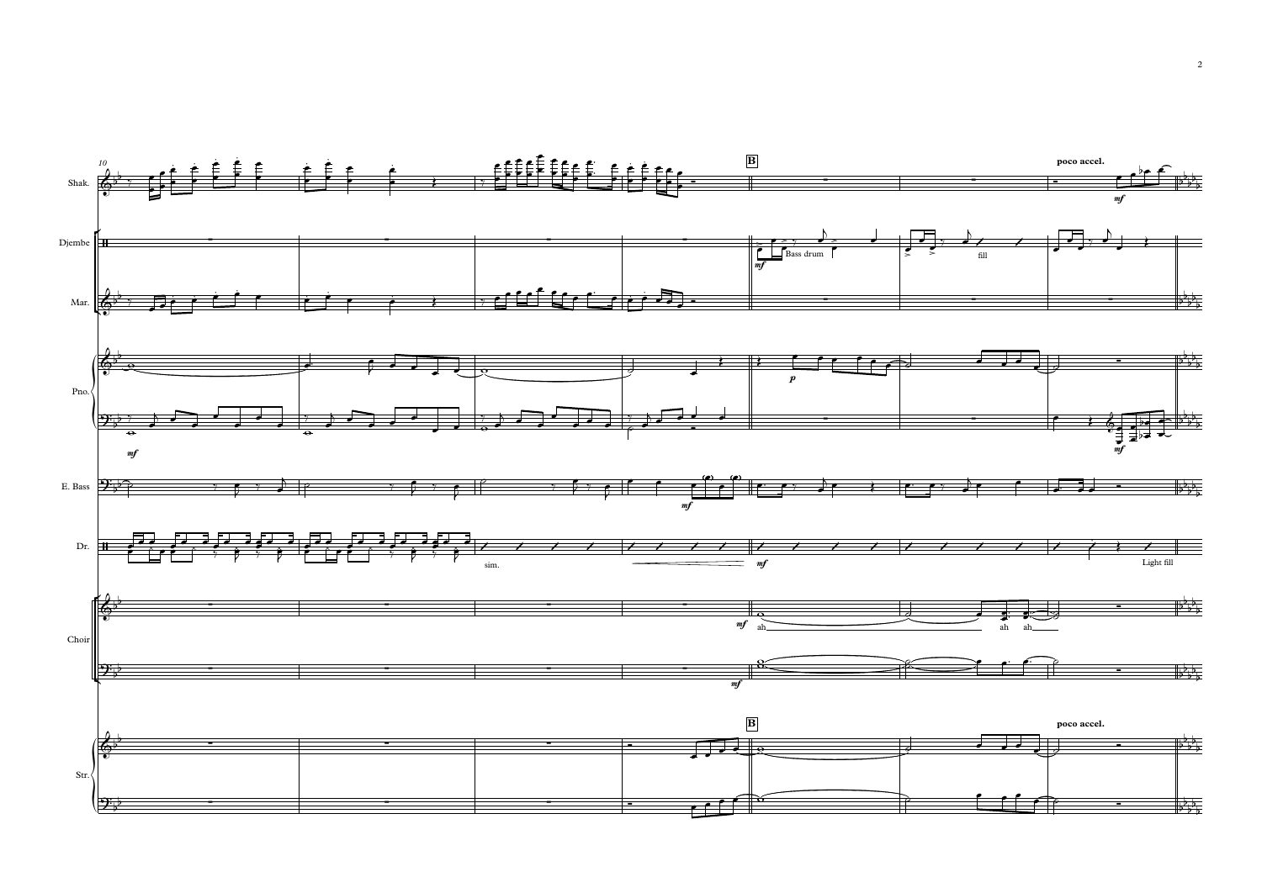